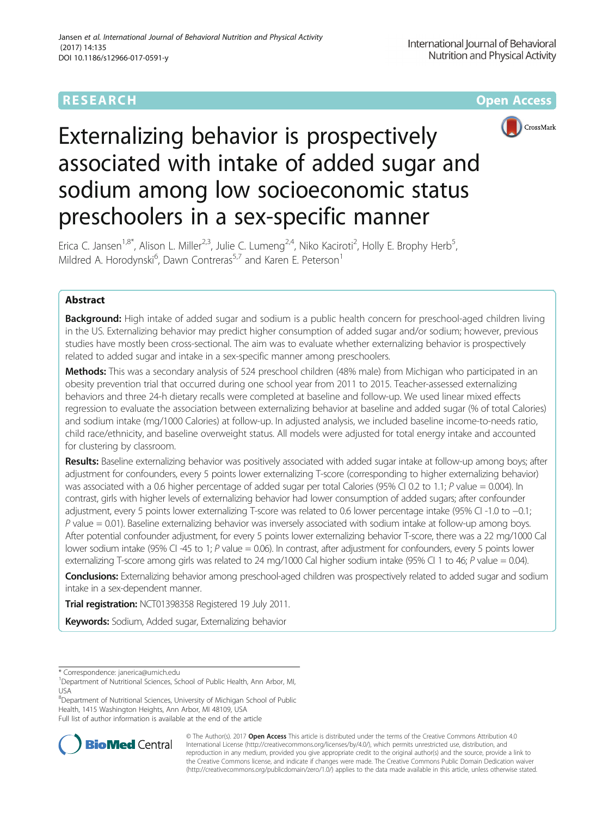# **RESEARCH CHE Open Access**



# Externalizing behavior is prospectively associated with intake of added sugar and sodium among low socioeconomic status preschoolers in a sex-specific manner

Erica C. Jansen<sup>1,8\*</sup>, Alison L. Miller<sup>2,3</sup>, Julie C. Lumeng<sup>2,4</sup>, Niko Kaciroti<sup>2</sup>, Holly E. Brophy Herb<sup>5</sup> , Mildred A. Horodynski<sup>6</sup>, Dawn Contreras<sup>5,7</sup> and Karen E. Peterson<sup>1</sup>

## Abstract

**Background:** High intake of added sugar and sodium is a public health concern for preschool-aged children living in the US. Externalizing behavior may predict higher consumption of added sugar and/or sodium; however, previous studies have mostly been cross-sectional. The aim was to evaluate whether externalizing behavior is prospectively related to added sugar and intake in a sex-specific manner among preschoolers.

Methods: This was a secondary analysis of 524 preschool children (48% male) from Michigan who participated in an obesity prevention trial that occurred during one school year from 2011 to 2015. Teacher-assessed externalizing behaviors and three 24-h dietary recalls were completed at baseline and follow-up. We used linear mixed effects regression to evaluate the association between externalizing behavior at baseline and added sugar (% of total Calories) and sodium intake (mg/1000 Calories) at follow-up. In adjusted analysis, we included baseline income-to-needs ratio, child race/ethnicity, and baseline overweight status. All models were adjusted for total energy intake and accounted for clustering by classroom.

Results: Baseline externalizing behavior was positively associated with added sugar intake at follow-up among boys; after adjustment for confounders, every 5 points lower externalizing T-score (corresponding to higher externalizing behavior) was associated with a 0.6 higher percentage of added sugar per total Calories (95% CI 0.2 to 1.1; P value = 0.004). In contrast, girls with higher levels of externalizing behavior had lower consumption of added sugars; after confounder adjustment, every 5 points lower externalizing T-score was related to 0.6 lower percentage intake (95% CI -1.0 to −0.1;  $P$  value = 0.01). Baseline externalizing behavior was inversely associated with sodium intake at follow-up among boys. After potential confounder adjustment, for every 5 points lower externalizing behavior T-score, there was a 22 mg/1000 Cal lower sodium intake (95% CI -45 to 1;  $P$  value = 0.06). In contrast, after adjustment for confounders, every 5 points lower externalizing T-score among girls was related to 24 mg/1000 Cal higher sodium intake (95% CI 1 to 46; P value = 0.04).

Conclusions: Externalizing behavior among preschool-aged children was prospectively related to added sugar and sodium intake in a sex-dependent manner.

Trial registration: [NCT01398358](https://clinicaltrials.gov/ct2/show/NCT01398358) Registered 19 July 2011.

Keywords: Sodium, Added sugar, Externalizing behavior

\* Correspondence: [janerica@umich.edu](mailto:janerica@umich.edu) <sup>1</sup>

<sup>8</sup>Department of Nutritional Sciences, University of Michigan School of Public Health, 1415 Washington Heights, Ann Arbor, MI 48109, USA

Full list of author information is available at the end of the article



© The Author(s). 2017 **Open Access** This article is distributed under the terms of the Creative Commons Attribution 4.0 International License [\(http://creativecommons.org/licenses/by/4.0/](http://creativecommons.org/licenses/by/4.0/)), which permits unrestricted use, distribution, and reproduction in any medium, provided you give appropriate credit to the original author(s) and the source, provide a link to the Creative Commons license, and indicate if changes were made. The Creative Commons Public Domain Dedication waiver [\(http://creativecommons.org/publicdomain/zero/1.0/](http://creativecommons.org/publicdomain/zero/1.0/)) applies to the data made available in this article, unless otherwise stated.

<sup>&</sup>lt;sup>1</sup>Department of Nutritional Sciences, School of Public Health, Ann Arbor, MI, USA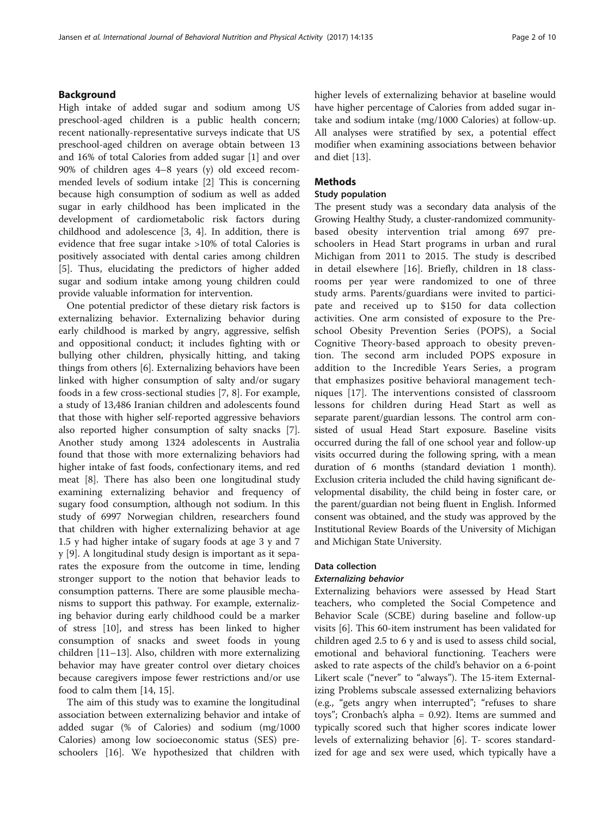High intake of added sugar and sodium among US preschool-aged children is a public health concern; recent nationally-representative surveys indicate that US preschool-aged children on average obtain between 13 and 16% of total Calories from added sugar [\[1](#page-9-0)] and over 90% of children ages 4–8 years (y) old exceed recommended levels of sodium intake [[2](#page-9-0)] This is concerning because high consumption of sodium as well as added sugar in early childhood has been implicated in the development of cardiometabolic risk factors during childhood and adolescence [\[3](#page-9-0), [4\]](#page-9-0). In addition, there is evidence that free sugar intake >10% of total Calories is positively associated with dental caries among children [[5\]](#page-9-0). Thus, elucidating the predictors of higher added sugar and sodium intake among young children could provide valuable information for intervention.

One potential predictor of these dietary risk factors is externalizing behavior. Externalizing behavior during early childhood is marked by angry, aggressive, selfish and oppositional conduct; it includes fighting with or bullying other children, physically hitting, and taking things from others [[6\]](#page-9-0). Externalizing behaviors have been linked with higher consumption of salty and/or sugary foods in a few cross-sectional studies [[7](#page-9-0), [8](#page-9-0)]. For example, a study of 13,486 Iranian children and adolescents found that those with higher self-reported aggressive behaviors also reported higher consumption of salty snacks [\[7](#page-9-0)]. Another study among 1324 adolescents in Australia found that those with more externalizing behaviors had higher intake of fast foods, confectionary items, and red meat [\[8](#page-9-0)]. There has also been one longitudinal study examining externalizing behavior and frequency of sugary food consumption, although not sodium. In this study of 6997 Norwegian children, researchers found that children with higher externalizing behavior at age 1.5 y had higher intake of sugary foods at age 3 y and 7 y [\[9](#page-9-0)]. A longitudinal study design is important as it separates the exposure from the outcome in time, lending stronger support to the notion that behavior leads to consumption patterns. There are some plausible mechanisms to support this pathway. For example, externalizing behavior during early childhood could be a marker of stress [[10](#page-9-0)], and stress has been linked to higher consumption of snacks and sweet foods in young children [[11](#page-9-0)–[13](#page-9-0)]. Also, children with more externalizing behavior may have greater control over dietary choices because caregivers impose fewer restrictions and/or use food to calm them [[14, 15\]](#page-9-0).

The aim of this study was to examine the longitudinal association between externalizing behavior and intake of added sugar (% of Calories) and sodium (mg/1000 Calories) among low socioeconomic status (SES) preschoolers [\[16\]](#page-9-0). We hypothesized that children with higher levels of externalizing behavior at baseline would have higher percentage of Calories from added sugar intake and sodium intake (mg/1000 Calories) at follow-up. All analyses were stratified by sex, a potential effect modifier when examining associations between behavior and diet [\[13\]](#page-9-0).

### Methods

#### Study population

The present study was a secondary data analysis of the Growing Healthy Study, a cluster-randomized communitybased obesity intervention trial among 697 preschoolers in Head Start programs in urban and rural Michigan from 2011 to 2015. The study is described in detail elsewhere [[16](#page-9-0)]. Briefly, children in 18 classrooms per year were randomized to one of three study arms. Parents/guardians were invited to participate and received up to \$150 for data collection activities. One arm consisted of exposure to the Preschool Obesity Prevention Series (POPS), a Social Cognitive Theory-based approach to obesity prevention. The second arm included POPS exposure in addition to the Incredible Years Series, a program that emphasizes positive behavioral management techniques [[17\]](#page-9-0). The interventions consisted of classroom lessons for children during Head Start as well as separate parent/guardian lessons. The control arm consisted of usual Head Start exposure. Baseline visits occurred during the fall of one school year and follow-up visits occurred during the following spring, with a mean duration of 6 months (standard deviation 1 month). Exclusion criteria included the child having significant developmental disability, the child being in foster care, or the parent/guardian not being fluent in English. Informed consent was obtained, and the study was approved by the Institutional Review Boards of the University of Michigan and Michigan State University.

#### Data collection

Externalizing behavior Externalizing behaviors were assessed by Head Start teachers, who completed the Social Competence and Behavior Scale (SCBE) during baseline and follow-up visits [\[6](#page-9-0)]. This 60-item instrument has been validated for children aged 2.5 to 6 y and is used to assess child social, emotional and behavioral functioning. Teachers were asked to rate aspects of the child's behavior on a 6-point Likert scale ("never" to "always"). The 15-item Externalizing Problems subscale assessed externalizing behaviors (e.g., "gets angry when interrupted"; "refuses to share toys"; Cronbach's alpha = 0.92). Items are summed and typically scored such that higher scores indicate lower levels of externalizing behavior [\[6](#page-9-0)]. T- scores standardized for age and sex were used, which typically have a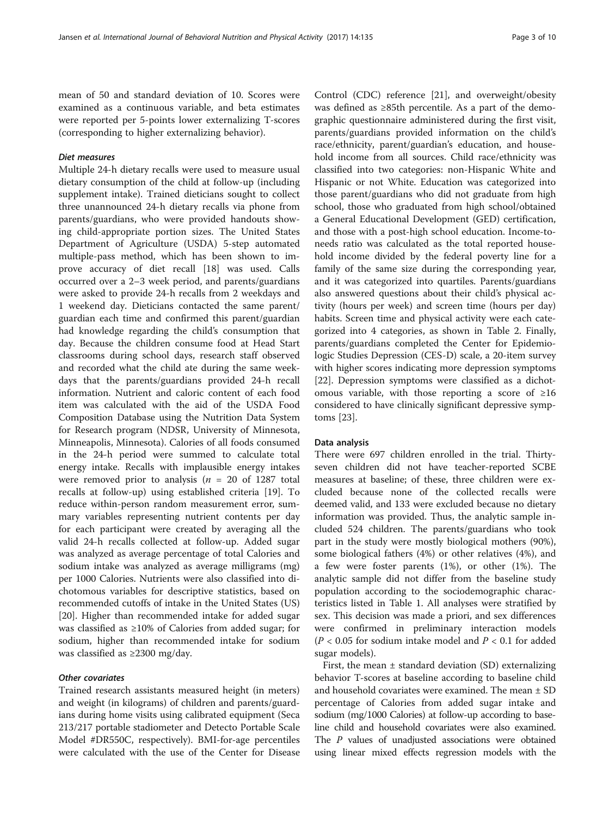mean of 50 and standard deviation of 10. Scores were examined as a continuous variable, and beta estimates were reported per 5-points lower externalizing T-scores (corresponding to higher externalizing behavior).

Multiple 24-h dietary recalls were used to measure usual dietary consumption of the child at follow-up (including supplement intake). Trained dieticians sought to collect three unannounced 24-h dietary recalls via phone from parents/guardians, who were provided handouts showing child-appropriate portion sizes. The United States Department of Agriculture (USDA) 5-step automated multiple-pass method, which has been shown to improve accuracy of diet recall [[18\]](#page-9-0) was used. Calls occurred over a 2–3 week period, and parents/guardians were asked to provide 24-h recalls from 2 weekdays and 1 weekend day. Dieticians contacted the same parent/ guardian each time and confirmed this parent/guardian had knowledge regarding the child's consumption that day. Because the children consume food at Head Start classrooms during school days, research staff observed and recorded what the child ate during the same weekdays that the parents/guardians provided 24-h recall information. Nutrient and caloric content of each food item was calculated with the aid of the USDA Food Composition Database using the Nutrition Data System for Research program (NDSR, University of Minnesota, Minneapolis, Minnesota). Calories of all foods consumed in the 24-h period were summed to calculate total energy intake. Recalls with implausible energy intakes were removed prior to analysis ( $n = 20$  of 1287 total recalls at follow-up) using established criteria [\[19\]](#page-9-0). To reduce within-person random measurement error, summary variables representing nutrient contents per day for each participant were created by averaging all the valid 24-h recalls collected at follow-up. Added sugar was analyzed as average percentage of total Calories and sodium intake was analyzed as average milligrams (mg) per 1000 Calories. Nutrients were also classified into dichotomous variables for descriptive statistics, based on recommended cutoffs of intake in the United States (US) [[20\]](#page-9-0). Higher than recommended intake for added sugar was classified as ≥10% of Calories from added sugar; for sodium, higher than recommended intake for sodium was classified as ≥2300 mg/day.

Trained research assistants measured height (in meters) and weight (in kilograms) of children and parents/guardians during home visits using calibrated equipment (Seca 213/217 portable stadiometer and Detecto Portable Scale Model #DR550C, respectively). BMI-for-age percentiles were calculated with the use of the Center for Disease

Control (CDC) reference [[21\]](#page-9-0), and overweight/obesity was defined as ≥85th percentile. As a part of the demographic questionnaire administered during the first visit, parents/guardians provided information on the child's race/ethnicity, parent/guardian's education, and household income from all sources. Child race/ethnicity was classified into two categories: non-Hispanic White and Hispanic or not White. Education was categorized into those parent/guardians who did not graduate from high school, those who graduated from high school/obtained a General Educational Development (GED) certification, and those with a post-high school education. Income-toneeds ratio was calculated as the total reported household income divided by the federal poverty line for a family of the same size during the corresponding year, and it was categorized into quartiles. Parents/guardians also answered questions about their child's physical activity (hours per week) and screen time (hours per day) habits. Screen time and physical activity were each categorized into 4 categories, as shown in Table [2.](#page-4-0) Finally, parents/guardians completed the Center for Epidemiologic Studies Depression (CES-D) scale, a 20-item survey with higher scores indicating more depression symptoms [[22\]](#page-9-0). Depression symptoms were classified as a dichotomous variable, with those reporting a score of  $\geq 16$ considered to have clinically significant depressive symptoms [\[23\]](#page-9-0).

#### Data analysis

There were 697 children enrolled in the trial. Thirtyseven children did not have teacher-reported SCBE measures at baseline; of these, three children were excluded because none of the collected recalls were deemed valid, and 133 were excluded because no dietary information was provided. Thus, the analytic sample included 524 children. The parents/guardians who took part in the study were mostly biological mothers (90%), some biological fathers (4%) or other relatives (4%), and a few were foster parents (1%), or other (1%). The analytic sample did not differ from the baseline study population according to the sociodemographic characteristics listed in Table [1.](#page-3-0) All analyses were stratified by sex. This decision was made a priori, and sex differences were confirmed in preliminary interaction models ( $P < 0.05$  for sodium intake model and  $P < 0.1$  for added sugar models).

First, the mean  $\pm$  standard deviation (SD) externalizing behavior T-scores at baseline according to baseline child and household covariates were examined. The mean  $\pm$  SD percentage of Calories from added sugar intake and sodium (mg/1000 Calories) at follow-up according to baseline child and household covariates were also examined. The P values of unadjusted associations were obtained using linear mixed effects regression models with the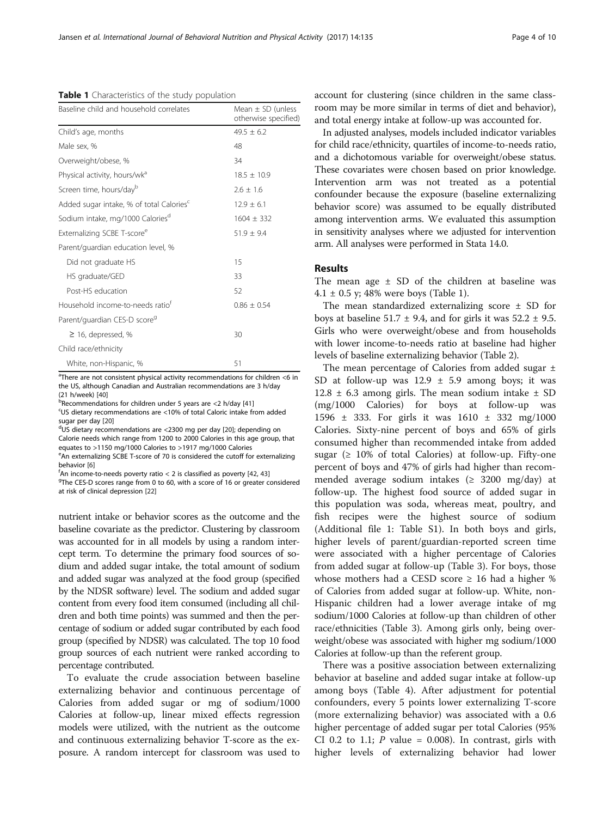<span id="page-3-0"></span>Table 1 Characteristics of the study population

| Baseline child and household correlates              | Mean $\pm$ SD (unless<br>otherwise specified) |  |  |
|------------------------------------------------------|-----------------------------------------------|--|--|
| Child's age, months                                  | $49.5 \pm 6.2$                                |  |  |
| Male sex, %                                          | 48                                            |  |  |
| Overweight/obese, %                                  | 34                                            |  |  |
| Physical activity, hours/wk <sup>d</sup>             | $18.5 \pm 10.9$                               |  |  |
| Screen time, hours/dayb                              | $2.6 \pm 1.6$                                 |  |  |
| Added sugar intake, % of total Calories <sup>c</sup> | $12.9 \pm 6.1$                                |  |  |
| Sodium intake, mg/1000 Calories <sup>d</sup>         | $1604 \pm 332$                                |  |  |
| Externalizing SCBE T-score <sup>e</sup>              | $51.9 \pm 9.4$                                |  |  |
| Parent/guardian education level, %                   |                                               |  |  |
| Did not graduate HS                                  | 15                                            |  |  |
| HS graduate/GED                                      | 33                                            |  |  |
| Post-HS education                                    | 52                                            |  |  |
| Household income-to-needs ratiof                     | $0.86 \pm 0.54$                               |  |  |
| Parent/guardian CES-D score <sup>9</sup>             |                                               |  |  |
| $\geq$ 16, depressed, %                              | 30                                            |  |  |
| Child race/ethnicity                                 |                                               |  |  |
| White, non-Hispanic, %                               | 51                                            |  |  |

<sup>a</sup>There are not consistent physical activity recommendations for children <6 in the US, although Canadian and Australian recommendations are 3 h/day (21 h/week) [[40\]](#page-9-0) <sup>b</sup>

 $B$ Recommendations for children under 5 years are  $<$ 2 h/day [\[41](#page-9-0)]

US dietary recommendations are <10% of total Caloric intake from added sugar per day [\[20\]](#page-9-0)

US dietary recommendations are <2300 mg per day [[20\]](#page-9-0); depending on Calorie needs which range from 1200 to 2000 Calories in this age group, that equates to >1150 mg/1000 Calories to >1917 mg/1000 Calories <sup>e</sup>An externalizing SCBE T-score of 70 is considered the cutoff for externalizing behavior [\[6](#page-9-0)]

 ${}^f$ An income-to-needs poverty ratio < 2 is classified as poverty [[42,](#page-9-0) [43\]](#page-9-0)

<sup>9</sup>The CES-D scores range from 0 to 60, with a score of 16 or greater considered at risk of clinical depression [[22\]](#page-9-0)

nutrient intake or behavior scores as the outcome and the baseline covariate as the predictor. Clustering by classroom was accounted for in all models by using a random intercept term. To determine the primary food sources of sodium and added sugar intake, the total amount of sodium and added sugar was analyzed at the food group (specified by the NDSR software) level. The sodium and added sugar content from every food item consumed (including all children and both time points) was summed and then the percentage of sodium or added sugar contributed by each food group (specified by NDSR) was calculated. The top 10 food group sources of each nutrient were ranked according to percentage contributed.

To evaluate the crude association between baseline externalizing behavior and continuous percentage of Calories from added sugar or mg of sodium/1000 Calories at follow-up, linear mixed effects regression models were utilized, with the nutrient as the outcome and continuous externalizing behavior T-score as the exposure. A random intercept for classroom was used to

account for clustering (since children in the same classroom may be more similar in terms of diet and behavior), and total energy intake at follow-up was accounted for.

In adjusted analyses, models included indicator variables for child race/ethnicity, quartiles of income-to-needs ratio, and a dichotomous variable for overweight/obese status. These covariates were chosen based on prior knowledge. Intervention arm was not treated as a potential confounder because the exposure (baseline externalizing behavior score) was assumed to be equally distributed among intervention arms. We evaluated this assumption in sensitivity analyses where we adjusted for intervention arm. All analyses were performed in Stata 14.0.

#### Results

The mean age ± SD of the children at baseline was 4.1  $\pm$  0.5 y; 48% were boys (Table 1).

The mean standardized externalizing score ± SD for boys at baseline  $51.7 \pm 9.4$ , and for girls it was  $52.2 \pm 9.5$ . Girls who were overweight/obese and from households with lower income-to-needs ratio at baseline had higher levels of baseline externalizing behavior (Table [2\)](#page-4-0).

The mean percentage of Calories from added sugar  $\pm$ SD at follow-up was  $12.9 \pm 5.9$  among boys; it was  $12.8 \pm 6.3$  among girls. The mean sodium intake  $\pm$  SD (mg/1000 Calories) for boys at follow-up was 1596 ± 333. For girls it was 1610 ± 332 mg/1000 Calories. Sixty-nine percent of boys and 65% of girls consumed higher than recommended intake from added sugar ( $\geq 10\%$  of total Calories) at follow-up. Fifty-one percent of boys and 47% of girls had higher than recommended average sodium intakes (≥ 3200 mg/day) at follow-up. The highest food source of added sugar in this population was soda, whereas meat, poultry, and fish recipes were the highest source of sodium (Additional file [1:](#page-8-0) Table S1). In both boys and girls, higher levels of parent/guardian-reported screen time were associated with a higher percentage of Calories from added sugar at follow-up (Table [3](#page-5-0)). For boys, those whose mothers had a CESD score  $\geq$  16 had a higher % of Calories from added sugar at follow-up. White, non-Hispanic children had a lower average intake of mg sodium/1000 Calories at follow-up than children of other race/ethnicities (Table [3\)](#page-5-0). Among girls only, being overweight/obese was associated with higher mg sodium/1000 Calories at follow-up than the referent group.

There was a positive association between externalizing behavior at baseline and added sugar intake at follow-up among boys (Table [4](#page-6-0)). After adjustment for potential confounders, every 5 points lower externalizing T-score (more externalizing behavior) was associated with a 0.6 higher percentage of added sugar per total Calories (95% CI 0.2 to 1.1;  $P$  value = 0.008). In contrast, girls with higher levels of externalizing behavior had lower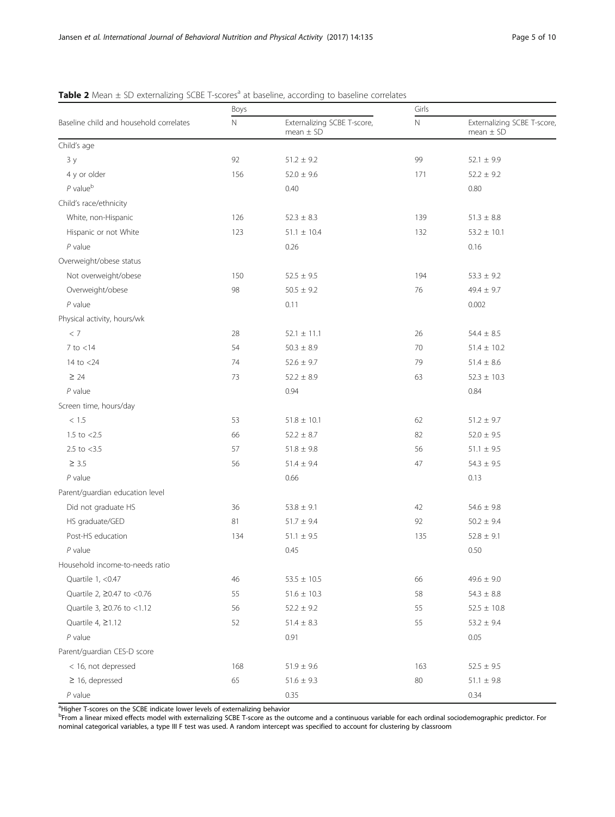|                                         | Boys       |                                              | Girls      |                                              |  |
|-----------------------------------------|------------|----------------------------------------------|------------|----------------------------------------------|--|
| Baseline child and household correlates | $\hbox{N}$ | Externalizing SCBE T-score,<br>mean $\pm$ SD | $\hbox{N}$ | Externalizing SCBE T-score,<br>$mean \pm SD$ |  |
| Child's age                             |            |                                              |            |                                              |  |
| 3y                                      | 92         | $51.2 \pm 9.2$                               | 99         | 52.1 $\pm$ 9.9                               |  |
| 4 y or older                            | 156        | $52.0 \pm 9.6$                               | 171        | $52.2 \pm 9.2$                               |  |
| $P$ value $b$                           |            | 0.40                                         |            | 0.80                                         |  |
| Child's race/ethnicity                  |            |                                              |            |                                              |  |
| White, non-Hispanic                     | 126        | $52.3 \pm 8.3$                               | 139        | $51.3 \pm 8.8$                               |  |
| Hispanic or not White                   | 123        | $51.1 \pm 10.4$                              | 132        | $53.2 \pm 10.1$                              |  |
| $P$ value                               |            | 0.26                                         |            | 0.16                                         |  |
| Overweight/obese status                 |            |                                              |            |                                              |  |
| Not overweight/obese                    | 150        | $52.5 \pm 9.5$                               | 194        | $53.3 \pm 9.2$                               |  |
| Overweight/obese                        | 98         | $50.5 \pm 9.2$                               | 76         | $49.4 \pm 9.7$                               |  |
| $P$ value                               |            | 0.11                                         |            | 0.002                                        |  |
| Physical activity, hours/wk             |            |                                              |            |                                              |  |
| $< 7\,$                                 | 28         | $52.1 \pm 11.1$                              | 26         | $54.4 \pm 8.5$                               |  |
| $7$ to $<$ 14                           | 54         | $50.3 \pm 8.9$                               | 70         | $51.4 \pm 10.2$                              |  |
| 14 to $<$ 24                            | 74         | $52.6 \pm 9.7$                               | 79         | $51.4 \pm 8.6$                               |  |
| $\geq 24$                               | 73         | $52.2 \pm 8.9$                               | 63         | $52.3 \pm 10.3$                              |  |
| $P$ value                               |            | 0.94                                         |            | 0.84                                         |  |
| Screen time, hours/day                  |            |                                              |            |                                              |  |
| $<\,1.5$                                | 53         | $51.8 \pm 10.1$                              | 62         | $51.2 \pm 9.7$                               |  |
| 1.5 to $< 2.5$                          | 66         | $52.2 \pm 8.7$                               | 82         | $52.0 \pm 9.5$                               |  |
| 2.5 to $<$ 3.5                          | 57         | $51.8 \pm 9.8$                               | 56         | $51.1 \pm 9.5$                               |  |
| $\geq 3.5$                              | 56         | $51.4 \pm 9.4$                               | 47         | $54.3 \pm 9.5$                               |  |
| $P$ value                               |            | 0.66                                         |            | 0.13                                         |  |
| Parent/guardian education level         |            |                                              |            |                                              |  |
| Did not graduate HS                     | 36         | $53.8 \pm 9.1$                               | 42         | $54.6 \pm 9.8$                               |  |
| HS graduate/GED                         | 81         | $51.7 \pm 9.4$                               | 92         | $50.2 \pm 9.4$                               |  |
| Post-HS education                       | 134        | $51.1 \pm 9.5$                               | 135        | $52.8 \pm 9.1$                               |  |
| $P$ value                               |            | 0.45                                         |            | 0.50                                         |  |
| Household income-to-needs ratio         |            |                                              |            |                                              |  |
| Quartile 1, <0.47                       | 46         | $53.5 \pm 10.5$                              | 66         | $49.6 \pm 9.0$                               |  |
| Quartile 2, ≥0.47 to <0.76              | 55         | $51.6 \pm 10.3$                              | 58         | $54.3 \pm 8.8$                               |  |
| Quartile 3, ≥0.76 to <1.12              | 56         | $52.2 \pm 9.2$                               | 55         | $52.5 \pm 10.8$                              |  |
| Quartile 4, $\geq$ 1.12                 | 52         | $51.4 \pm 8.3$                               | 55         | $53.2 \pm 9.4$                               |  |
| $P$ value                               |            | 0.91                                         |            | 0.05                                         |  |
| Parent/guardian CES-D score             |            |                                              |            |                                              |  |
| < 16, not depressed                     | 168        | $51.9 \pm 9.6$                               | 163        | $52.5 \pm 9.5$                               |  |
| $\geq$ 16, depressed                    | 65         | $51.6 \pm 9.3$                               | 80         | $51.1 \pm 9.8$                               |  |
| $P$ value                               |            | 0.35                                         |            | 0.34                                         |  |

### <span id="page-4-0"></span>**Table 2** Mean  $\pm$  SD externalizing SCBE T-scores<sup>a</sup> at baseline, according to baseline correlates

<sup>a</sup>Higher T-scores on the SCBE indicate lower levels of externalizing behavior<br><sup>b</sup>From a linear mixed effects model with externalizing SCBE T-score as the outcome and a continuous variable for each ordinal sociodemographic nominal categorical variables, a type III F test was used. A random intercept was specified to account for clustering by classroom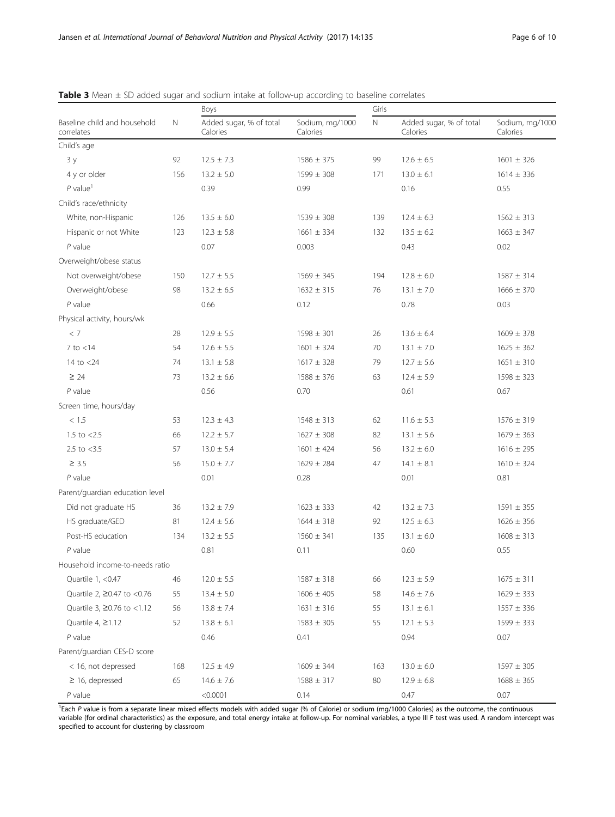|                                            |             | Boys                                |                             |                | Girls                               |                             |  |
|--------------------------------------------|-------------|-------------------------------------|-----------------------------|----------------|-------------------------------------|-----------------------------|--|
| Baseline child and household<br>correlates | $\mathbb N$ | Added sugar, % of total<br>Calories | Sodium, mg/1000<br>Calories | $\overline{N}$ | Added sugar, % of total<br>Calories | Sodium, mg/1000<br>Calories |  |
| Child's age                                |             |                                     |                             |                |                                     |                             |  |
| 3y                                         | 92          | $12.5 \pm 7.3$                      | $1586 \pm 375$              | 99             | $12.6 \pm 6.5$                      | $1601 \pm 326$              |  |
| 4 y or older                               | 156         | $13.2 \pm 5.0$                      | $1599 \pm 308$              | 171            | $13.0 \pm 6.1$                      | $1614 \pm 336$              |  |
| $P$ value <sup>1</sup>                     |             | 0.39                                | 0.99                        |                | 0.16                                | 0.55                        |  |
| Child's race/ethnicity                     |             |                                     |                             |                |                                     |                             |  |
| White, non-Hispanic                        | 126         | $13.5 \pm 6.0$                      | $1539 \pm 308$              | 139            | $12.4 \pm 6.3$                      | $1562 \pm 313$              |  |
| Hispanic or not White                      | 123         | $12.3 \pm 5.8$                      | $1661 \pm 334$              | 132            | $13.5 \pm 6.2$                      | $1663 \pm 347$              |  |
| $P$ value                                  |             | 0.07                                | 0.003                       |                | 0.43                                | 0.02                        |  |
| Overweight/obese status                    |             |                                     |                             |                |                                     |                             |  |
| Not overweight/obese                       | 150         | $12.7 \pm 5.5$                      | $1569 \pm 345$              | 194            | $12.8 \pm 6.0$                      | $1587 \pm 314$              |  |
| Overweight/obese                           | 98          | $13.2 \pm 6.5$                      | $1632 \pm 315$              | 76             | $13.1 \pm 7.0$                      | $1666 \pm 370$              |  |
| $P$ value                                  |             | 0.66                                | 0.12                        |                | 0.78                                | 0.03                        |  |
| Physical activity, hours/wk                |             |                                     |                             |                |                                     |                             |  |
| $< 7\,$                                    | 28          | $12.9 \pm 5.5$                      | $1598 \pm 301$              | 26             | $13.6 \pm 6.4$                      | $1609 \pm 378$              |  |
| $7$ to $<$ 14                              | 54          | $12.6 \pm 5.5$                      | $1601 \pm 324$              | 70             | $13.1 \pm 7.0$                      | $1625 \pm 362$              |  |
| 14 to $<$ 24                               | 74          | $13.1 \pm 5.8$                      | $1617 \pm 328$              | 79             | $12.7 \pm 5.6$                      | $1651 \pm 310$              |  |
| $\geq 24$                                  | 73          | $13.2 \pm 6.6$                      | $1588 \pm 376$              | 63             | $12.4 \pm 5.9$                      | $1598 \pm 323$              |  |
| $P$ value                                  |             | 0.56                                | 0.70                        |                | 0.61                                | 0.67                        |  |
| Screen time, hours/day                     |             |                                     |                             |                |                                     |                             |  |
| < 1.5                                      | 53          | $12.3 \pm 4.3$                      | $1548 \pm 313$              | 62             | $11.6 \pm 5.3$                      | $1576 \pm 319$              |  |
| 1.5 to $< 2.5$                             | 66          | $12.2 \pm 5.7$                      | $1627 \pm 308$              | 82             | $13.1 \pm 5.6$                      | $1679 \pm 363$              |  |
| 2.5 to $<$ 3.5                             | 57          | $13.0 \pm 5.4$                      | $1601 \pm 424$              | 56             | $13.2 \pm 6.0$                      | $1616 \pm 295$              |  |
| $\geq$ 3.5                                 | 56          | $15.0 \pm 7.7$                      | $1629 \pm 284$              | 47             | $14.1 \pm 8.1$                      | $1610 \pm 324$              |  |
| $P$ value                                  |             | 0.01                                | 0.28                        |                | 0.01                                | 0.81                        |  |
| Parent/guardian education level            |             |                                     |                             |                |                                     |                             |  |
| Did not graduate HS                        | 36          | $13.2 \pm 7.9$                      | $1623 \pm 333$              | 42             | $13.2 \pm 7.3$                      | $1591 \pm 355$              |  |
| HS graduate/GED                            | 81          | $12.4 \pm 5.6$                      | $1644 \pm 318$              | 92             | $12.5 \pm 6.3$                      | $1626 \pm 356$              |  |
| Post-HS education                          | 134         | $13.2 \pm 5.5$                      | $1560 \pm 341$              | 135            | $13.1 \pm 6.0$                      | $1608 \pm 313$              |  |
| $P$ value                                  |             | 0.81                                | 0.11                        |                | 0.60                                | 0.55                        |  |
| Household income-to-needs ratio            |             |                                     |                             |                |                                     |                             |  |
| Quartile 1, <0.47                          | 46          | $12.0 \pm 5.5$                      | $1587 \pm 318$              | 66             | $12.3 \pm 5.9$                      | $1675 \pm 311$              |  |
| Quartile 2, $\geq$ 0.47 to <0.76           | 55          | $13.4 \pm 5.0$                      | $1606 \pm 405$              | 58             | $14.6 \pm 7.6$                      | $1629 \pm 333$              |  |
| Quartile 3, $≥0.76$ to <1.12               | 56          | $13.8 \pm 7.4$                      | $1631 \pm 316$              | 55             | $13.1 \pm 6.1$                      | $1557 \pm 336$              |  |
| Quartile 4, $\geq$ 1.12                    | 52          | $13.8 \pm 6.1$                      | $1583 \pm 305$              | 55             | $12.1 \pm 5.3$                      | $1599 \pm 333$              |  |
| $P$ value                                  |             | 0.46                                | 0.41                        |                | 0.94                                | 0.07                        |  |
| Parent/guardian CES-D score                |             |                                     |                             |                |                                     |                             |  |
| < 16, not depressed                        | 168         | $12.5 \pm 4.9$                      | $1609 \pm 344$              | 163            | $13.0 \pm 6.0$                      | $1597 \pm 305$              |  |
| $\geq$ 16, depressed                       | 65          | $14.6 \pm 7.6$                      | $1588 \pm 317$              | $80\,$         | $12.9 \pm 6.8$                      | $1688 \pm 365$              |  |
| $P$ value                                  |             | < 0.0001                            | 0.14                        |                | 0.47                                | 0.07                        |  |

<span id="page-5-0"></span>**Table 3** Mean  $\pm$  SD added sugar and sodium intake at follow-up according to baseline correlates

<sup>1</sup> Each P value is from a separate linear mixed effects models with added sugar (% of Calorie) or sodium (mg/1000 Calories) as the outcome, the continuous variable (for ordinal characteristics) as the exposure, and total energy intake at follow-up. For nominal variables, a type III F test was used. A random intercept was specified to account for clustering by classroom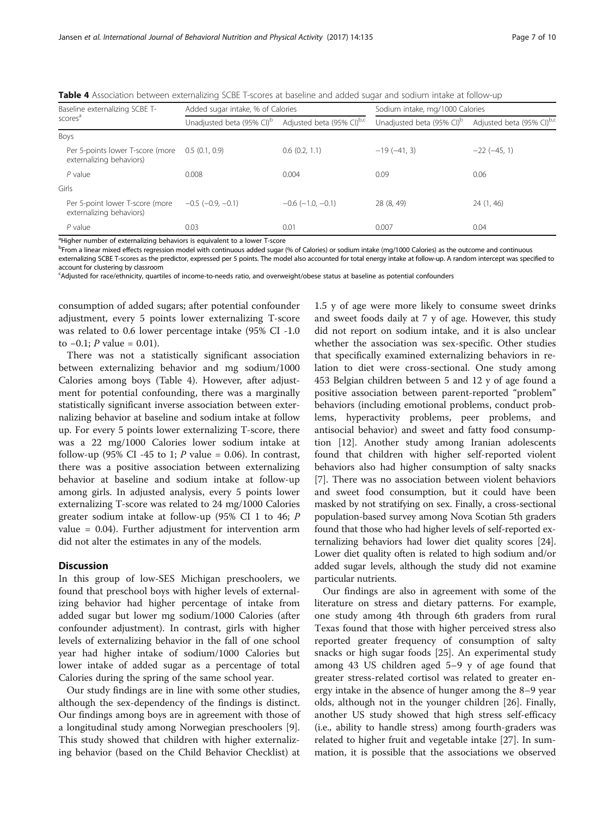| Baseline externalizing SCBE T-                               | Added sugar intake, % of Calories     |                                       | Sodium intake, mg/1000 Calories       |                           |  |
|--------------------------------------------------------------|---------------------------------------|---------------------------------------|---------------------------------------|---------------------------|--|
| scores <sup>a</sup>                                          | Unadjusted beta (95% CI) <sup>b</sup> | Adjusted beta (95% CI) <sup>b,c</sup> | Unadjusted beta (95% CI) <sup>b</sup> | Adjusted beta (95% CI)b,c |  |
| Boys                                                         |                                       |                                       |                                       |                           |  |
| Per 5-points lower T-score (more<br>externalizing behaviors) | 0.5(0.1, 0.9)                         | 0.6(0.2, 1.1)                         | $-19(-41, 3)$                         | $-22(-45, 1)$             |  |
| $P$ value                                                    | 0.008                                 | 0.004                                 | 0.09                                  | 0.06                      |  |
| Girls                                                        |                                       |                                       |                                       |                           |  |
| Per 5-point lower T-score (more<br>externalizing behaviors)  | $-0.5$ ( $-0.9$ , $-0.1$ )            | $-0.6$ ( $-1.0, -0.1$ )               | 28 (8, 49)                            | 24 (1, 46)                |  |
| $P$ value                                                    | 0.03                                  | 0.01                                  | 0.007                                 | 0.04                      |  |

<span id="page-6-0"></span>Table 4 Association between externalizing SCBE T-scores at baseline and added sugar and sodium intake at follow-up

<sup>a</sup>Higher number of externalizing behaviors is equivalent to a lower T-score

<sup>b</sup>From a linear mixed effects regression model with continuous added sugar (% of Calories) or sodium intake (mg/1000 Calories) as the outcome and continuous

externalizing SCBE T-scores as the predictor, expressed per 5 points. The model also accounted for total energy intake at follow-up. A random intercept was specified to account for clustering by classroom

c Adjusted for race/ethnicity, quartiles of income-to-needs ratio, and overweight/obese status at baseline as potential confounders

consumption of added sugars; after potential confounder adjustment, every 5 points lower externalizing T-score was related to 0.6 lower percentage intake (95% CI -1.0 to  $-0.1$ ; *P* value = 0.01).

There was not a statistically significant association between externalizing behavior and mg sodium/1000 Calories among boys (Table 4). However, after adjustment for potential confounding, there was a marginally statistically significant inverse association between externalizing behavior at baseline and sodium intake at follow up. For every 5 points lower externalizing T-score, there was a 22 mg/1000 Calories lower sodium intake at follow-up (95% CI -45 to 1; P value = 0.06). In contrast, there was a positive association between externalizing behavior at baseline and sodium intake at follow-up among girls. In adjusted analysis, every 5 points lower externalizing T-score was related to 24 mg/1000 Calories greater sodium intake at follow-up (95% CI 1 to 46; P value = 0.04). Further adjustment for intervention arm did not alter the estimates in any of the models.

#### **Discussion**

In this group of low-SES Michigan preschoolers, we found that preschool boys with higher levels of externalizing behavior had higher percentage of intake from added sugar but lower mg sodium/1000 Calories (after confounder adjustment). In contrast, girls with higher levels of externalizing behavior in the fall of one school year had higher intake of sodium/1000 Calories but lower intake of added sugar as a percentage of total Calories during the spring of the same school year.

Our study findings are in line with some other studies, although the sex-dependency of the findings is distinct. Our findings among boys are in agreement with those of a longitudinal study among Norwegian preschoolers [\[9](#page-9-0)]. This study showed that children with higher externalizing behavior (based on the Child Behavior Checklist) at

1.5 y of age were more likely to consume sweet drinks and sweet foods daily at 7 y of age. However, this study did not report on sodium intake, and it is also unclear whether the association was sex-specific. Other studies that specifically examined externalizing behaviors in relation to diet were cross-sectional. One study among 453 Belgian children between 5 and 12 y of age found a positive association between parent-reported "problem" behaviors (including emotional problems, conduct problems, hyperactivity problems, peer problems, and antisocial behavior) and sweet and fatty food consumption [[12\]](#page-9-0). Another study among Iranian adolescents found that children with higher self-reported violent behaviors also had higher consumption of salty snacks [[7\]](#page-9-0). There was no association between violent behaviors and sweet food consumption, but it could have been masked by not stratifying on sex. Finally, a cross-sectional population-based survey among Nova Scotian 5th graders found that those who had higher levels of self-reported externalizing behaviors had lower diet quality scores [[24](#page-9-0)]. Lower diet quality often is related to high sodium and/or added sugar levels, although the study did not examine particular nutrients.

Our findings are also in agreement with some of the literature on stress and dietary patterns. For example, one study among 4th through 6th graders from rural Texas found that those with higher perceived stress also reported greater frequency of consumption of salty snacks or high sugar foods [[25](#page-9-0)]. An experimental study among 43 US children aged 5–9 y of age found that greater stress-related cortisol was related to greater energy intake in the absence of hunger among the 8–9 year olds, although not in the younger children [[26](#page-9-0)]. Finally, another US study showed that high stress self-efficacy (i.e., ability to handle stress) among fourth-graders was related to higher fruit and vegetable intake [[27](#page-9-0)]. In summation, it is possible that the associations we observed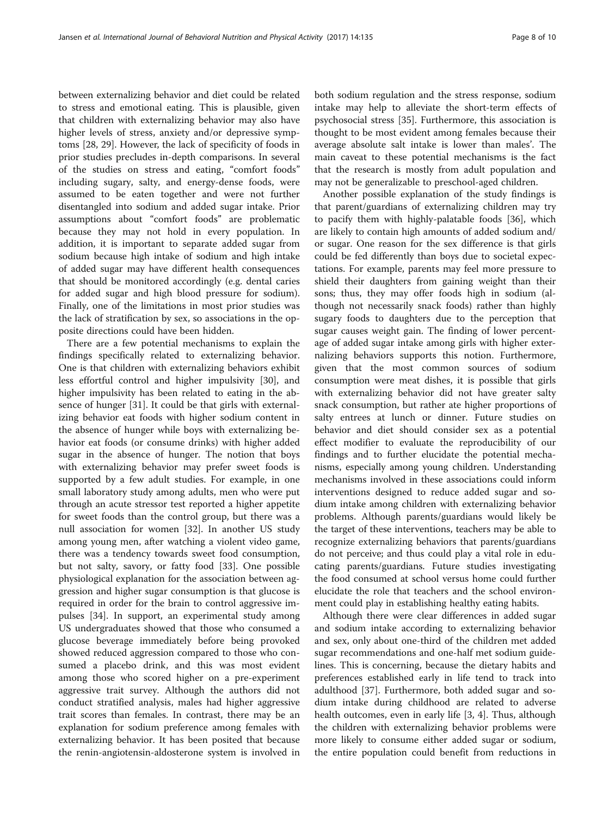between externalizing behavior and diet could be related to stress and emotional eating. This is plausible, given that children with externalizing behavior may also have higher levels of stress, anxiety and/or depressive symptoms [\[28, 29\]](#page-9-0). However, the lack of specificity of foods in prior studies precludes in-depth comparisons. In several of the studies on stress and eating, "comfort foods" including sugary, salty, and energy-dense foods, were assumed to be eaten together and were not further disentangled into sodium and added sugar intake. Prior assumptions about "comfort foods" are problematic because they may not hold in every population. In addition, it is important to separate added sugar from sodium because high intake of sodium and high intake of added sugar may have different health consequences that should be monitored accordingly (e.g. dental caries for added sugar and high blood pressure for sodium). Finally, one of the limitations in most prior studies was the lack of stratification by sex, so associations in the opposite directions could have been hidden.

There are a few potential mechanisms to explain the findings specifically related to externalizing behavior. One is that children with externalizing behaviors exhibit less effortful control and higher impulsivity [[30\]](#page-9-0), and higher impulsivity has been related to eating in the absence of hunger [\[31](#page-9-0)]. It could be that girls with externalizing behavior eat foods with higher sodium content in the absence of hunger while boys with externalizing behavior eat foods (or consume drinks) with higher added sugar in the absence of hunger. The notion that boys with externalizing behavior may prefer sweet foods is supported by a few adult studies. For example, in one small laboratory study among adults, men who were put through an acute stressor test reported a higher appetite for sweet foods than the control group, but there was a null association for women [[32](#page-9-0)]. In another US study among young men, after watching a violent video game, there was a tendency towards sweet food consumption, but not salty, savory, or fatty food [\[33](#page-9-0)]. One possible physiological explanation for the association between aggression and higher sugar consumption is that glucose is required in order for the brain to control aggressive impulses [[34\]](#page-9-0). In support, an experimental study among US undergraduates showed that those who consumed a glucose beverage immediately before being provoked showed reduced aggression compared to those who consumed a placebo drink, and this was most evident among those who scored higher on a pre-experiment aggressive trait survey. Although the authors did not conduct stratified analysis, males had higher aggressive trait scores than females. In contrast, there may be an explanation for sodium preference among females with externalizing behavior. It has been posited that because the renin-angiotensin-aldosterone system is involved in

both sodium regulation and the stress response, sodium intake may help to alleviate the short-term effects of psychosocial stress [[35\]](#page-9-0). Furthermore, this association is thought to be most evident among females because their average absolute salt intake is lower than males'. The main caveat to these potential mechanisms is the fact that the research is mostly from adult population and may not be generalizable to preschool-aged children.

Another possible explanation of the study findings is that parent/guardians of externalizing children may try to pacify them with highly-palatable foods [\[36](#page-9-0)], which are likely to contain high amounts of added sodium and/ or sugar. One reason for the sex difference is that girls could be fed differently than boys due to societal expectations. For example, parents may feel more pressure to shield their daughters from gaining weight than their sons; thus, they may offer foods high in sodium (although not necessarily snack foods) rather than highly sugary foods to daughters due to the perception that sugar causes weight gain. The finding of lower percentage of added sugar intake among girls with higher externalizing behaviors supports this notion. Furthermore, given that the most common sources of sodium consumption were meat dishes, it is possible that girls with externalizing behavior did not have greater salty snack consumption, but rather ate higher proportions of salty entrees at lunch or dinner. Future studies on behavior and diet should consider sex as a potential effect modifier to evaluate the reproducibility of our findings and to further elucidate the potential mechanisms, especially among young children. Understanding mechanisms involved in these associations could inform interventions designed to reduce added sugar and sodium intake among children with externalizing behavior problems. Although parents/guardians would likely be the target of these interventions, teachers may be able to recognize externalizing behaviors that parents/guardians do not perceive; and thus could play a vital role in educating parents/guardians. Future studies investigating the food consumed at school versus home could further elucidate the role that teachers and the school environment could play in establishing healthy eating habits.

Although there were clear differences in added sugar and sodium intake according to externalizing behavior and sex, only about one-third of the children met added sugar recommendations and one-half met sodium guidelines. This is concerning, because the dietary habits and preferences established early in life tend to track into adulthood [\[37](#page-9-0)]. Furthermore, both added sugar and sodium intake during childhood are related to adverse health outcomes, even in early life [[3, 4\]](#page-9-0). Thus, although the children with externalizing behavior problems were more likely to consume either added sugar or sodium, the entire population could benefit from reductions in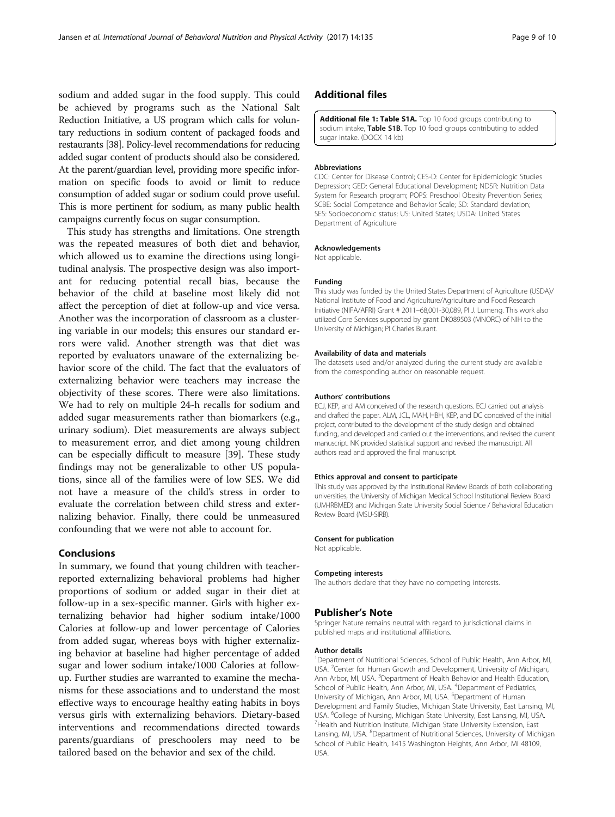<span id="page-8-0"></span>sodium and added sugar in the food supply. This could be achieved by programs such as the National Salt Reduction Initiative, a US program which calls for voluntary reductions in sodium content of packaged foods and restaurants [\[38\]](#page-9-0). Policy-level recommendations for reducing added sugar content of products should also be considered. At the parent/guardian level, providing more specific information on specific foods to avoid or limit to reduce consumption of added sugar or sodium could prove useful. This is more pertinent for sodium, as many public health campaigns currently focus on sugar consumption.

This study has strengths and limitations. One strength was the repeated measures of both diet and behavior, which allowed us to examine the directions using longitudinal analysis. The prospective design was also important for reducing potential recall bias, because the behavior of the child at baseline most likely did not affect the perception of diet at follow-up and vice versa. Another was the incorporation of classroom as a clustering variable in our models; this ensures our standard errors were valid. Another strength was that diet was reported by evaluators unaware of the externalizing behavior score of the child. The fact that the evaluators of externalizing behavior were teachers may increase the objectivity of these scores. There were also limitations. We had to rely on multiple 24-h recalls for sodium and added sugar measurements rather than biomarkers (e.g., urinary sodium). Diet measurements are always subject to measurement error, and diet among young children can be especially difficult to measure [[39\]](#page-9-0). These study findings may not be generalizable to other US populations, since all of the families were of low SES. We did not have a measure of the child's stress in order to evaluate the correlation between child stress and externalizing behavior. Finally, there could be unmeasured confounding that we were not able to account for.

### Conclusions

In summary, we found that young children with teacherreported externalizing behavioral problems had higher proportions of sodium or added sugar in their diet at follow-up in a sex-specific manner. Girls with higher externalizing behavior had higher sodium intake/1000 Calories at follow-up and lower percentage of Calories from added sugar, whereas boys with higher externalizing behavior at baseline had higher percentage of added sugar and lower sodium intake/1000 Calories at followup. Further studies are warranted to examine the mechanisms for these associations and to understand the most effective ways to encourage healthy eating habits in boys versus girls with externalizing behaviors. Dietary-based interventions and recommendations directed towards parents/guardians of preschoolers may need to be tailored based on the behavior and sex of the child.

#### Additional files

[Additional file 1: Table S1A.](dx.doi.org/10.1186/s12966-017-0591-y) Top 10 food groups contributing to sodium intake, Table S1B. Top 10 food groups contributing to added sugar intake. (DOCX 14 kb)

#### Abbreviations

CDC: Center for Disease Control; CES-D: Center for Epidemiologic Studies Depression; GED: General Educational Development; NDSR: Nutrition Data System for Research program; POPS: Preschool Obesity Prevention Series; SCBE: Social Competence and Behavior Scale; SD: Standard deviation; SES: Socioeconomic status; US: United States; USDA: United States Department of Agriculture

#### Acknowledgements

Not applicable.

#### Funding

This study was funded by the United States Department of Agriculture (USDA)/ National Institute of Food and Agriculture/Agriculture and Food Research Initiative (NIFA/AFRI) Grant # 2011–68,001-30,089, PI J. Lumeng. This work also utilized Core Services supported by grant DK089503 (MNORC) of NIH to the University of Michigan; PI Charles Burant.

#### Availability of data and materials

The datasets used and/or analyzed during the current study are available from the corresponding author on reasonable request.

#### Authors' contributions

ECJ, KEP, and AM conceived of the research questions. ECJ carried out analysis and drafted the paper. ALM, JCL, MAH, HBH, KEP, and DC conceived of the initial project, contributed to the development of the study design and obtained funding, and developed and carried out the interventions, and revised the current manuscript. NK provided statistical support and revised the manuscript. All authors read and approved the final manuscript.

#### Ethics approval and consent to participate

This study was approved by the Institutional Review Boards of both collaborating universities, the University of Michigan Medical School Institutional Review Board (UM-IRBMED) and Michigan State University Social Science / Behavioral Education Review Board (MSU-SIRB).

#### Consent for publication

Not applicable.

#### Competing interests

The authors declare that they have no competing interests.

#### Publisher's Note

Springer Nature remains neutral with regard to jurisdictional claims in published maps and institutional affiliations.

#### Author details

<sup>1</sup>Department of Nutritional Sciences, School of Public Health, Ann Arbor, MI USA. <sup>2</sup> Center for Human Growth and Development, University of Michigan, Ann Arbor, MI, USA. <sup>3</sup>Department of Health Behavior and Health Education School of Public Health, Ann Arbor, MI, USA. <sup>4</sup>Department of Pediatrics, University of Michigan, Ann Arbor, MI, USA.<sup>5</sup> Department of Human Development and Family Studies, Michigan State University, East Lansing, MI, USA. <sup>6</sup> College of Nursing, Michigan State University, East Lansing, MI, USA. <sup>7</sup> Health and Nutrition Institute, Michigan State University Extension, East Lansing, MI, USA. <sup>8</sup>Department of Nutritional Sciences, University of Michigan School of Public Health, 1415 Washington Heights, Ann Arbor, MI 48109, USA.